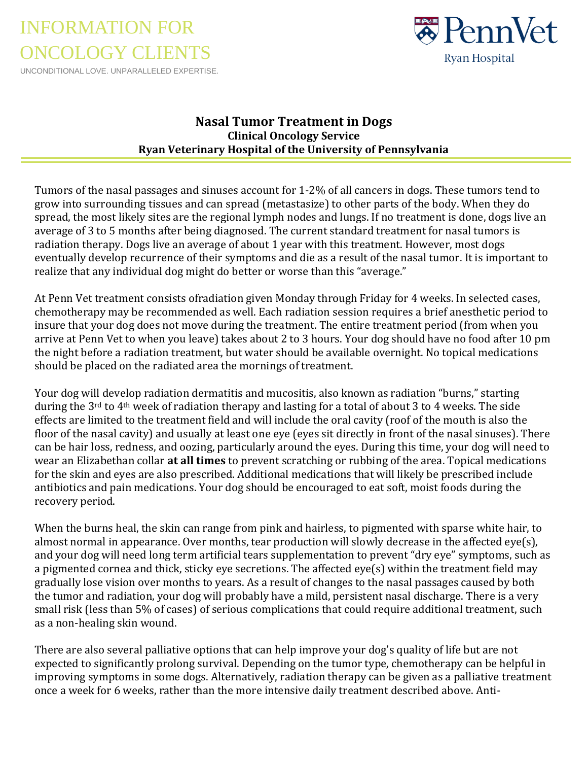INFORMATION FOR ONCOLOGY CLIENTS

UNCONDITIONAL LOVE. UNPARALLELED EXPERTISE.



## **Nasal Tumor Treatment in Dogs Clinical Oncology Service Ryan Veterinary Hospital of the University of Pennsylvania**

Tumors of the nasal passages and sinuses account for 1-2% of all cancers in dogs. These tumors tend to grow into surrounding tissues and can spread (metastasize) to other parts of the body. When they do spread, the most likely sites are the regional lymph nodes and lungs. If no treatment is done, dogs live an average of 3 to 5 months after being diagnosed. The current standard treatment for nasal tumors is radiation therapy. Dogs live an average of about 1 year with this treatment. However, most dogs eventually develop recurrence of their symptoms and die as a result of the nasal tumor. It is important to realize that any individual dog might do better or worse than this "average."

At Penn Vet treatment consists ofradiation given Monday through Friday for 4 weeks. In selected cases, chemotherapy may be recommended as well. Each radiation session requires a brief anesthetic period to insure that your dog does not move during the treatment. The entire treatment period (from when you arrive at Penn Vet to when you leave) takes about 2 to 3 hours. Your dog should have no food after 10 pm the night before a radiation treatment, but water should be available overnight. No topical medications should be placed on the radiated area the mornings of treatment.

Your dog will develop radiation dermatitis and mucositis, also known as radiation "burns," starting during the 3<sup>rd</sup> to 4<sup>th</sup> week of radiation therapy and lasting for a total of about 3 to 4 weeks. The side effects are limited to the treatment field and will include the oral cavity (roof of the mouth is also the floor of the nasal cavity) and usually at least one eye (eyes sit directly in front of the nasal sinuses). There can be hair loss, redness, and oozing, particularly around the eyes. During this time, your dog will need to wear an Elizabethan collar **at all times** to prevent scratching or rubbing of the area. Topical medications for the skin and eyes are also prescribed. Additional medications that will likely be prescribed include antibiotics and pain medications. Your dog should be encouraged to eat soft, moist foods during the recovery period.

When the burns heal, the skin can range from pink and hairless, to pigmented with sparse white hair, to almost normal in appearance. Over months, tear production will slowly decrease in the affected eye(s), and your dog will need long term artificial tears supplementation to prevent "dry eye" symptoms, such as a pigmented cornea and thick, sticky eye secretions. The affected eye(s) within the treatment field may gradually lose vision over months to years. As a result of changes to the nasal passages caused by both the tumor and radiation, your dog will probably have a mild, persistent nasal discharge. There is a very small risk (less than 5% of cases) of serious complications that could require additional treatment, such as a non-healing skin wound.

There are also several palliative options that can help improve your dog's quality of life but are not expected to significantly prolong survival. Depending on the tumor type, chemotherapy can be helpful in improving symptoms in some dogs. Alternatively, radiation therapy can be given as a palliative treatment once a week for 6 weeks, rather than the more intensive daily treatment described above. Anti